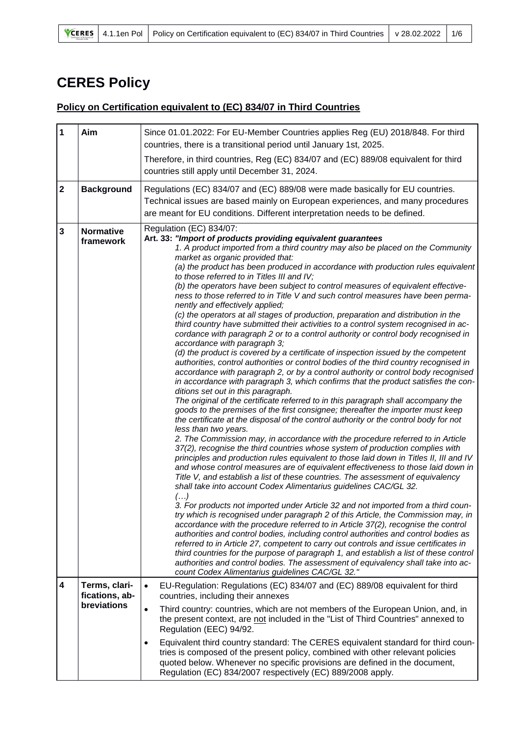## **CERES Policy**

## **Policy on Certification equivalent to (EC) 834/07 in Third Countries**

| $\mathbf 1$             | Aim                                            | Since 01.01.2022: For EU-Member Countries applies Reg (EU) 2018/848. For third<br>countries, there is a transitional period until January 1st, 2025.<br>Therefore, in third countries, Reg (EC) 834/07 and (EC) 889/08 equivalent for third<br>countries still apply until December 31, 2024.                                                                                                                                                                                                                                                                                                                                                                                                                                                                                                                                                                                                                                                                                                                                                                                                                                                                                                                                                                                                                                                                                                                                                                                                                                                                                                                                                                                                                                                                                                                                                                                                                                                                                                                                                                                                                                                                                                                                                                                                                                                                                                                                                                                                                                                                                                                                                                                                                                                                        |
|-------------------------|------------------------------------------------|----------------------------------------------------------------------------------------------------------------------------------------------------------------------------------------------------------------------------------------------------------------------------------------------------------------------------------------------------------------------------------------------------------------------------------------------------------------------------------------------------------------------------------------------------------------------------------------------------------------------------------------------------------------------------------------------------------------------------------------------------------------------------------------------------------------------------------------------------------------------------------------------------------------------------------------------------------------------------------------------------------------------------------------------------------------------------------------------------------------------------------------------------------------------------------------------------------------------------------------------------------------------------------------------------------------------------------------------------------------------------------------------------------------------------------------------------------------------------------------------------------------------------------------------------------------------------------------------------------------------------------------------------------------------------------------------------------------------------------------------------------------------------------------------------------------------------------------------------------------------------------------------------------------------------------------------------------------------------------------------------------------------------------------------------------------------------------------------------------------------------------------------------------------------------------------------------------------------------------------------------------------------------------------------------------------------------------------------------------------------------------------------------------------------------------------------------------------------------------------------------------------------------------------------------------------------------------------------------------------------------------------------------------------------------------------------------------------------------------------------------------------------|
| $\mathbf{2}$            | <b>Background</b>                              | Regulations (EC) 834/07 and (EC) 889/08 were made basically for EU countries.<br>Technical issues are based mainly on European experiences, and many procedures<br>are meant for EU conditions. Different interpretation needs to be defined.                                                                                                                                                                                                                                                                                                                                                                                                                                                                                                                                                                                                                                                                                                                                                                                                                                                                                                                                                                                                                                                                                                                                                                                                                                                                                                                                                                                                                                                                                                                                                                                                                                                                                                                                                                                                                                                                                                                                                                                                                                                                                                                                                                                                                                                                                                                                                                                                                                                                                                                        |
| $\mathbf{3}$            | <b>Normative</b><br>framework                  | Regulation (EC) 834/07:<br>Art. 33: "Import of products providing equivalent guarantees<br>1. A product imported from a third country may also be placed on the Community<br>market as organic provided that:<br>(a) the product has been produced in accordance with production rules equivalent<br>to those referred to in Titles III and IV;<br>(b) the operators have been subject to control measures of equivalent effective-<br>ness to those referred to in Title V and such control measures have been perma-<br>nently and effectively applied;<br>(c) the operators at all stages of production, preparation and distribution in the<br>third country have submitted their activities to a control system recognised in ac-<br>cordance with paragraph 2 or to a control authority or control body recognised in<br>accordance with paragraph 3;<br>(d) the product is covered by a certificate of inspection issued by the competent<br>authorities, control authorities or control bodies of the third country recognised in<br>accordance with paragraph 2, or by a control authority or control body recognised<br>in accordance with paragraph 3, which confirms that the product satisfies the con-<br>ditions set out in this paragraph.<br>The original of the certificate referred to in this paragraph shall accompany the<br>goods to the premises of the first consignee; thereafter the importer must keep<br>the certificate at the disposal of the control authority or the control body for not<br>less than two years.<br>2. The Commission may, in accordance with the procedure referred to in Article<br>37(2), recognise the third countries whose system of production complies with<br>principles and production rules equivalent to those laid down in Titles II, III and IV<br>and whose control measures are of equivalent effectiveness to those laid down in<br>Title V, and establish a list of these countries. The assessment of equivalency<br>shall take into account Codex Alimentarius guidelines CAC/GL 32.<br>$\left( \ldots \right)$<br>3. For products not imported under Article 32 and not imported from a third coun-<br>try which is recognised under paragraph 2 of this Article, the Commission may, in<br>accordance with the procedure referred to in Article 37(2), recognise the control<br>authorities and control bodies, including control authorities and control bodies as<br>referred to in Article 27, competent to carry out controls and issue certificates in<br>third countries for the purpose of paragraph 1, and establish a list of these control<br>authorities and control bodies. The assessment of equivalency shall take into ac-<br>count Codex Alimentarius guidelines CAC/GL 32." |
| $\overline{\mathbf{4}}$ | Terms, clari-<br>fications, ab-<br>breviations | EU-Regulation: Regulations (EC) 834/07 and (EC) 889/08 equivalent for third<br>$\bullet$<br>countries, including their annexes<br>$\bullet$<br>Third country: countries, which are not members of the European Union, and, in<br>the present context, are not included in the "List of Third Countries" annexed to<br>Regulation (EEC) 94/92.                                                                                                                                                                                                                                                                                                                                                                                                                                                                                                                                                                                                                                                                                                                                                                                                                                                                                                                                                                                                                                                                                                                                                                                                                                                                                                                                                                                                                                                                                                                                                                                                                                                                                                                                                                                                                                                                                                                                                                                                                                                                                                                                                                                                                                                                                                                                                                                                                        |
|                         |                                                | Equivalent third country standard: The CERES equivalent standard for third coun-<br>tries is composed of the present policy, combined with other relevant policies<br>quoted below. Whenever no specific provisions are defined in the document,<br>Regulation (EC) 834/2007 respectively (EC) 889/2008 apply.                                                                                                                                                                                                                                                                                                                                                                                                                                                                                                                                                                                                                                                                                                                                                                                                                                                                                                                                                                                                                                                                                                                                                                                                                                                                                                                                                                                                                                                                                                                                                                                                                                                                                                                                                                                                                                                                                                                                                                                                                                                                                                                                                                                                                                                                                                                                                                                                                                                       |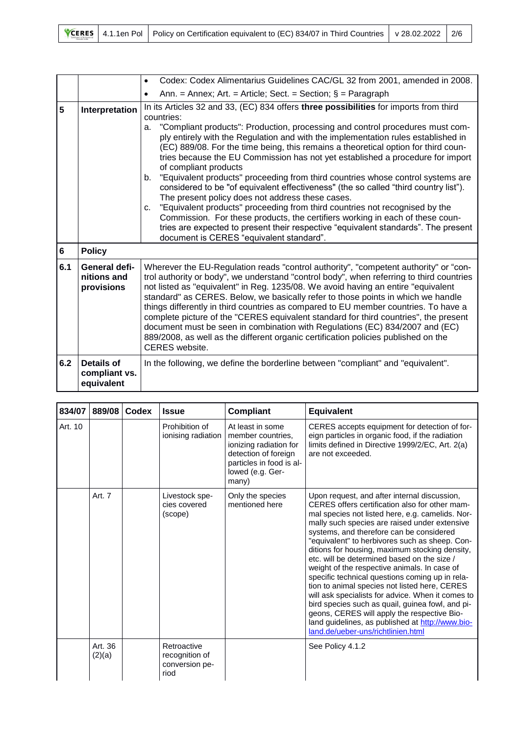|  |  | <b>YCERES</b> 4.1.1en Pol Policy on Certification equivalent to (EC) 834/07 in Third Countries v 28.02.2022 2/6 |  |  |
|--|--|-----------------------------------------------------------------------------------------------------------------|--|--|
|--|--|-----------------------------------------------------------------------------------------------------------------|--|--|

|                |                                                  | Codex: Codex Alimentarius Guidelines CAC/GL 32 from 2001, amended in 2008.<br>$\bullet$                                                                                                                                                                                                                                                                                                                                                                                                                                                                                                                                                                                                                                                                                                                                                                                                                                                                                                                                       |
|----------------|--------------------------------------------------|-------------------------------------------------------------------------------------------------------------------------------------------------------------------------------------------------------------------------------------------------------------------------------------------------------------------------------------------------------------------------------------------------------------------------------------------------------------------------------------------------------------------------------------------------------------------------------------------------------------------------------------------------------------------------------------------------------------------------------------------------------------------------------------------------------------------------------------------------------------------------------------------------------------------------------------------------------------------------------------------------------------------------------|
|                |                                                  | Ann. = Annex; Art. = Article; Sect. = Section; $\S$ = Paragraph<br>$\bullet$                                                                                                                                                                                                                                                                                                                                                                                                                                                                                                                                                                                                                                                                                                                                                                                                                                                                                                                                                  |
| 5              | Interpretation                                   | In its Articles 32 and 33, (EC) 834 offers three possibilities for imports from third<br>countries:<br>"Compliant products": Production, processing and control procedures must com-<br>a.<br>ply entirely with the Regulation and with the implementation rules established in<br>(EC) 889/08. For the time being, this remains a theoretical option for third coun-<br>tries because the EU Commission has not yet established a procedure for import<br>of compliant products<br>"Equivalent products" proceeding from third countries whose control systems are<br>b.<br>considered to be "of equivalent effectiveness" (the so called "third country list").<br>The present policy does not address these cases.<br>"Equivalent products" proceeding from third countries not recognised by the<br>C.<br>Commission. For these products, the certifiers working in each of these coun-<br>tries are expected to present their respective "equivalent standards". The present<br>document is CERES "equivalent standard". |
| $6\phantom{1}$ | <b>Policy</b>                                    |                                                                                                                                                                                                                                                                                                                                                                                                                                                                                                                                                                                                                                                                                                                                                                                                                                                                                                                                                                                                                               |
| 6.1            | General defi-<br>nitions and<br>provisions       | Wherever the EU-Regulation reads "control authority", "competent authority" or "con-<br>trol authority or body", we understand "control body", when referring to third countries<br>not listed as "equivalent" in Reg. 1235/08. We avoid having an entire "equivalent<br>standard" as CERES. Below, we basically refer to those points in which we handle<br>things differently in third countries as compared to EU member countries. To have a<br>complete picture of the "CERES equivalent standard for third countries", the present<br>document must be seen in combination with Regulations (EC) 834/2007 and (EC)<br>889/2008, as well as the different organic certification policies published on the<br><b>CERES</b> website.                                                                                                                                                                                                                                                                                       |
| 6.2            | <b>Details of</b><br>compliant vs.<br>equivalent | In the following, we define the borderline between "compliant" and "equivalent".                                                                                                                                                                                                                                                                                                                                                                                                                                                                                                                                                                                                                                                                                                                                                                                                                                                                                                                                              |

| 834/07  | 889/08            | <b>Codex</b> | <b>Issue</b>                                            | <b>Compliant</b>                                                                                                                                 | <b>Equivalent</b>                                                                                                                                                                                                                                                                                                                                                                                                                                                                                                                                                                                                                                                                                                                                                                                        |
|---------|-------------------|--------------|---------------------------------------------------------|--------------------------------------------------------------------------------------------------------------------------------------------------|----------------------------------------------------------------------------------------------------------------------------------------------------------------------------------------------------------------------------------------------------------------------------------------------------------------------------------------------------------------------------------------------------------------------------------------------------------------------------------------------------------------------------------------------------------------------------------------------------------------------------------------------------------------------------------------------------------------------------------------------------------------------------------------------------------|
| Art. 10 |                   |              | Prohibition of<br>ionising radiation                    | At least in some<br>member countries.<br>ionizing radiation for<br>detection of foreign<br>particles in food is al-<br>lowed (e.g. Ger-<br>many) | CERES accepts equipment for detection of for-<br>eign particles in organic food, if the radiation<br>limits defined in Directive 1999/2/EC, Art. 2(a)<br>are not exceeded.                                                                                                                                                                                                                                                                                                                                                                                                                                                                                                                                                                                                                               |
|         | Art. 7            |              | Livestock spe-<br>cies covered<br>(scope)               | Only the species<br>mentioned here                                                                                                               | Upon request, and after internal discussion,<br>CERES offers certification also for other mam-<br>mal species not listed here, e.g. camelids. Nor-<br>mally such species are raised under extensive<br>systems, and therefore can be considered<br>"equivalent" to herbivores such as sheep. Con-<br>ditions for housing, maximum stocking density,<br>etc. will be determined based on the size /<br>weight of the respective animals. In case of<br>specific technical questions coming up in rela-<br>tion to animal species not listed here, CERES<br>will ask specialists for advice. When it comes to<br>bird species such as quail, guinea fowl, and pi-<br>geons, CERES will apply the respective Bio-<br>land guidelines, as published at http://www.bio-<br>land.de/ueber-uns/richtlinien.html |
|         | Art. 36<br>(2)(a) |              | Retroactive<br>recognition of<br>conversion pe-<br>riod |                                                                                                                                                  | See Policy 4.1.2                                                                                                                                                                                                                                                                                                                                                                                                                                                                                                                                                                                                                                                                                                                                                                                         |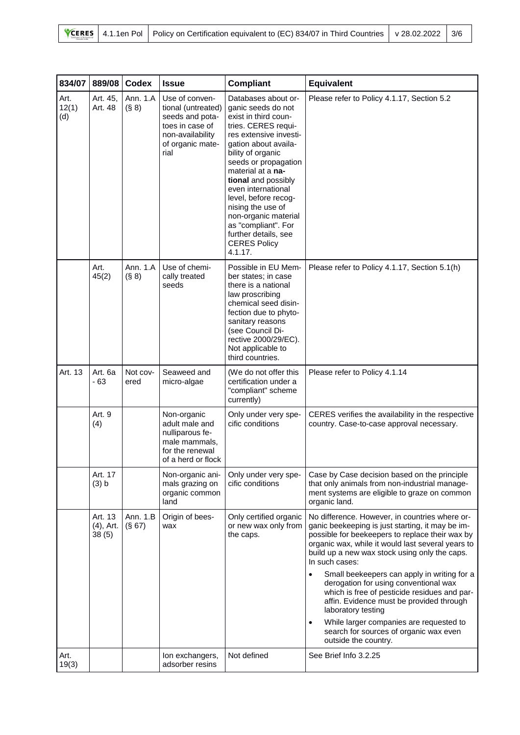|  |  | <b>VCERES</b> 4.1.1en Pol Policy on Certification equivalent to (EC) 834/07 in Third Countries   v 28.02.2022   3/F |  |  |
|--|--|---------------------------------------------------------------------------------------------------------------------|--|--|
|--|--|---------------------------------------------------------------------------------------------------------------------|--|--|

| 834/07               | 889/08                        | <b>Codex</b>       | <b>Issue</b>                                                                                                               | <b>Compliant</b>                                                                                                                                                                                                                                                                                                                                                                                                | Equivalent                                                                                                                                                                                                                                                                                                                                                                                                                                                                                                                                                                                                        |
|----------------------|-------------------------------|--------------------|----------------------------------------------------------------------------------------------------------------------------|-----------------------------------------------------------------------------------------------------------------------------------------------------------------------------------------------------------------------------------------------------------------------------------------------------------------------------------------------------------------------------------------------------------------|-------------------------------------------------------------------------------------------------------------------------------------------------------------------------------------------------------------------------------------------------------------------------------------------------------------------------------------------------------------------------------------------------------------------------------------------------------------------------------------------------------------------------------------------------------------------------------------------------------------------|
| Art.<br>12(1)<br>(d) | Art. 45,<br>Art. 48           | Ann. 1.A<br>(S 8)  | Use of conven-<br>tional (untreated)<br>seeds and pota-<br>toes in case of<br>non-availability<br>of organic mate-<br>rial | Databases about or-<br>ganic seeds do not<br>exist in third coun-<br>tries. CERES requi-<br>res extensive investi-<br>gation about availa-<br>bility of organic<br>seeds or propagation<br>material at a na-<br>tional and possibly<br>even international<br>level, before recog-<br>nising the use of<br>non-organic material<br>as "compliant". For<br>further details, see<br><b>CERES Policy</b><br>4.1.17. | Please refer to Policy 4.1.17, Section 5.2                                                                                                                                                                                                                                                                                                                                                                                                                                                                                                                                                                        |
|                      | Art.<br>45(2)                 | Ann. 1.A<br>(S 8)  | Use of chemi-<br>cally treated<br>seeds                                                                                    | Possible in EU Mem-<br>ber states; in case<br>there is a national<br>law proscribing<br>chemical seed disin-<br>fection due to phyto-<br>sanitary reasons<br>(see Council Di-<br>rective 2000/29/EC).<br>Not applicable to<br>third countries.                                                                                                                                                                  | Please refer to Policy 4.1.17, Section 5.1(h)                                                                                                                                                                                                                                                                                                                                                                                                                                                                                                                                                                     |
| Art. 13              | Art. 6a<br>- 63               | Not cov-<br>ered   | Seaweed and<br>micro-algae                                                                                                 | (We do not offer this<br>certification under a<br>"compliant" scheme<br>currently)                                                                                                                                                                                                                                                                                                                              | Please refer to Policy 4.1.14                                                                                                                                                                                                                                                                                                                                                                                                                                                                                                                                                                                     |
|                      | Art. 9<br>(4)                 |                    | Non-organic<br>adult male and<br>nulliparous fe-<br>male mammals,<br>for the renewal<br>of a herd or flock                 | Only under very spe-<br>cific conditions                                                                                                                                                                                                                                                                                                                                                                        | CERES verifies the availability in the respective<br>country. Case-to-case approval necessary.                                                                                                                                                                                                                                                                                                                                                                                                                                                                                                                    |
|                      | Art. 17<br>(3) b              |                    | Non-organic ani-<br>mals grazing on<br>organic common<br>land                                                              | Only under very spe-<br>cific conditions                                                                                                                                                                                                                                                                                                                                                                        | Case by Case decision based on the principle<br>that only animals from non-industrial manage-<br>ment systems are eligible to graze on common<br>organic land.                                                                                                                                                                                                                                                                                                                                                                                                                                                    |
|                      | Art. 13<br>(4), Art.<br>38(5) | Ann. 1.B<br>(S 67) | Origin of bees-<br>wax                                                                                                     | Only certified organic<br>or new wax only from<br>the caps.                                                                                                                                                                                                                                                                                                                                                     | No difference. However, in countries where or-<br>ganic beekeeping is just starting, it may be im-<br>possible for beekeepers to replace their wax by<br>organic wax, while it would last several years to<br>build up a new wax stock using only the caps.<br>In such cases:<br>Small beekeepers can apply in writing for a<br>derogation for using conventional wax<br>which is free of pesticide residues and par-<br>affin. Evidence must be provided through<br>laboratory testing<br>While larger companies are requested to<br>$\bullet$<br>search for sources of organic wax even<br>outside the country. |
| Art.<br>19(3)        |                               |                    | Ion exchangers,<br>adsorber resins                                                                                         | Not defined                                                                                                                                                                                                                                                                                                                                                                                                     | See Brief Info 3.2.25                                                                                                                                                                                                                                                                                                                                                                                                                                                                                                                                                                                             |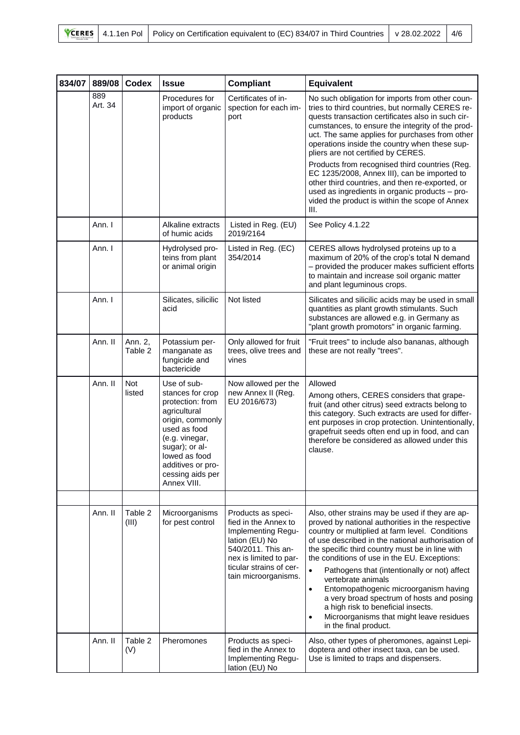|  |  | <b>VCERES</b> 4.1.1en Pol Policy on Certification equivalent to (EC) 834/07 in Third Countries   v 28.02.2022   4/ <sup>c</sup> |  |  |
|--|--|---------------------------------------------------------------------------------------------------------------------------------|--|--|
|--|--|---------------------------------------------------------------------------------------------------------------------------------|--|--|

| 834/07 | 889/08         | <b>Codex</b>         | <b>Issue</b>                                                                                                                                                                                                         | <b>Compliant</b>                                                                                                                                                                      | <b>Equivalent</b>                                                                                                                                                                                                                                                                                                                                                                                                                                                                                                                                                                                                      |
|--------|----------------|----------------------|----------------------------------------------------------------------------------------------------------------------------------------------------------------------------------------------------------------------|---------------------------------------------------------------------------------------------------------------------------------------------------------------------------------------|------------------------------------------------------------------------------------------------------------------------------------------------------------------------------------------------------------------------------------------------------------------------------------------------------------------------------------------------------------------------------------------------------------------------------------------------------------------------------------------------------------------------------------------------------------------------------------------------------------------------|
|        | 889<br>Art. 34 |                      | Procedures for<br>import of organic<br>products                                                                                                                                                                      | Certificates of in-<br>spection for each im-<br>port                                                                                                                                  | No such obligation for imports from other coun-<br>tries to third countries, but normally CERES re-<br>quests transaction certificates also in such cir-<br>cumstances, to ensure the integrity of the prod-<br>uct. The same applies for purchases from other<br>operations inside the country when these sup-<br>pliers are not certified by CERES.<br>Products from recognised third countries (Reg.<br>EC 1235/2008, Annex III), can be imported to<br>other third countries, and then re-exported, or<br>used as ingredients in organic products - pro-<br>vided the product is within the scope of Annex<br>III. |
|        | Ann. I         |                      | Alkaline extracts<br>of humic acids                                                                                                                                                                                  | Listed in Reg. (EU)<br>2019/2164                                                                                                                                                      | See Policy 4.1.22                                                                                                                                                                                                                                                                                                                                                                                                                                                                                                                                                                                                      |
|        | Ann. I         |                      | Hydrolysed pro-<br>teins from plant<br>or animal origin                                                                                                                                                              | Listed in Reg. (EC)<br>354/2014                                                                                                                                                       | CERES allows hydrolysed proteins up to a<br>maximum of 20% of the crop's total N demand<br>- provided the producer makes sufficient efforts<br>to maintain and increase soil organic matter<br>and plant leguminous crops.                                                                                                                                                                                                                                                                                                                                                                                             |
|        | Ann. I         |                      | Silicates, silicilic<br>acid                                                                                                                                                                                         | Not listed                                                                                                                                                                            | Silicates and silicilic acids may be used in small<br>quantities as plant growth stimulants. Such<br>substances are allowed e.g. in Germany as<br>"plant growth promotors" in organic farming.                                                                                                                                                                                                                                                                                                                                                                                                                         |
|        | Ann. II        | Ann. 2,<br>Table 2   | Potassium per-<br>manganate as<br>fungicide and<br>bactericide                                                                                                                                                       | Only allowed for fruit<br>trees, olive trees and<br>vines                                                                                                                             | "Fruit trees" to include also bananas, although<br>these are not really "trees".                                                                                                                                                                                                                                                                                                                                                                                                                                                                                                                                       |
|        | Ann. II        | <b>Not</b><br>listed | Use of sub-<br>stances for crop<br>protection: from<br>agricultural<br>origin, commonly<br>used as food<br>(e.g. vinegar,<br>sugar); or al-<br>lowed as food<br>additives or pro-<br>cessing aids per<br>Annex VIII. | Now allowed per the<br>new Annex II (Reg.<br>EU 2016/673)                                                                                                                             | Allowed<br>Among others, CERES considers that grape-<br>fruit (and other citrus) seed extracts belong to<br>this category. Such extracts are used for differ-<br>ent purposes in crop protection. Unintentionally,<br>grapefruit seeds often end up in food, and can<br>therefore be considered as allowed under this<br>clause.                                                                                                                                                                                                                                                                                       |
|        |                |                      |                                                                                                                                                                                                                      |                                                                                                                                                                                       |                                                                                                                                                                                                                                                                                                                                                                                                                                                                                                                                                                                                                        |
|        | Ann. II        | Table 2<br>(III)     | Microorganisms<br>for pest control                                                                                                                                                                                   | Products as speci-<br>fied in the Annex to<br>Implementing Regu-<br>lation (EU) No<br>540/2011. This an-<br>nex is limited to par-<br>ticular strains of cer-<br>tain microorganisms. | Also, other strains may be used if they are ap-<br>proved by national authorities in the respective<br>country or multiplied at farm level. Conditions<br>of use described in the national authorisation of<br>the specific third country must be in line with<br>the conditions of use in the EU. Exceptions:<br>Pathogens that (intentionally or not) affect<br>vertebrate animals<br>Entomopathogenic microorganism having<br>$\bullet$<br>a very broad spectrum of hosts and posing<br>a high risk to beneficial insects.<br>Microorganisms that might leave residues<br>in the final product.                     |
|        | Ann. II        | Table 2<br>(V)       | Pheromones                                                                                                                                                                                                           | Products as speci-<br>fied in the Annex to<br>Implementing Regu-<br>lation (EU) No                                                                                                    | Also, other types of pheromones, against Lepi-<br>doptera and other insect taxa, can be used.<br>Use is limited to traps and dispensers.                                                                                                                                                                                                                                                                                                                                                                                                                                                                               |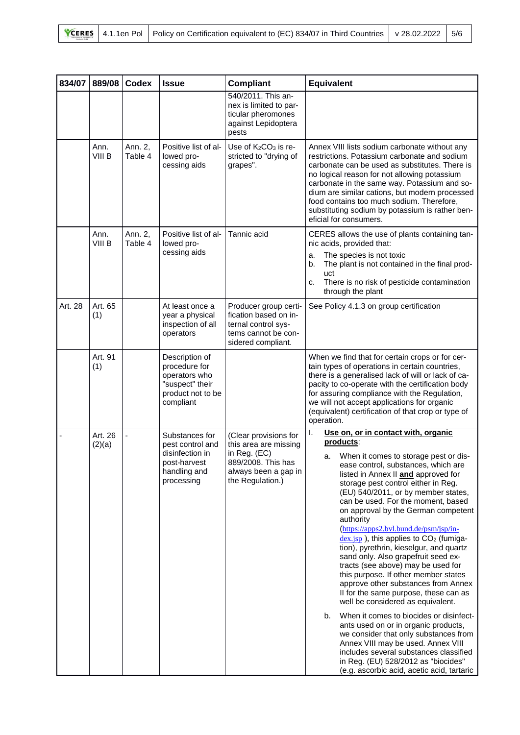| 834/07  | 889/08            | <b>Codex</b>       | <b>Issue</b>                                                                                          | <b>Compliant</b>                                                                                                                 | <b>Equivalent</b>                                                                                                                                                                                                                                                                                                                                                                                                                                                                                                                                                                                                                                                                                                                                                                                                                                                                                                                                                                                                                             |
|---------|-------------------|--------------------|-------------------------------------------------------------------------------------------------------|----------------------------------------------------------------------------------------------------------------------------------|-----------------------------------------------------------------------------------------------------------------------------------------------------------------------------------------------------------------------------------------------------------------------------------------------------------------------------------------------------------------------------------------------------------------------------------------------------------------------------------------------------------------------------------------------------------------------------------------------------------------------------------------------------------------------------------------------------------------------------------------------------------------------------------------------------------------------------------------------------------------------------------------------------------------------------------------------------------------------------------------------------------------------------------------------|
|         |                   |                    |                                                                                                       | 540/2011. This an-<br>nex is limited to par-<br>ticular pheromones<br>against Lepidoptera<br>pests                               |                                                                                                                                                                                                                                                                                                                                                                                                                                                                                                                                                                                                                                                                                                                                                                                                                                                                                                                                                                                                                                               |
|         | Ann.<br>VIII B    | Ann. 2,<br>Table 4 | Positive list of al-<br>lowed pro-<br>cessing aids                                                    | Use of $K_2CO_3$ is re-<br>stricted to "drying of<br>grapes".                                                                    | Annex VIII lists sodium carbonate without any<br>restrictions. Potassium carbonate and sodium<br>carbonate can be used as substitutes. There is<br>no logical reason for not allowing potassium<br>carbonate in the same way. Potassium and so-<br>dium are similar cations, but modern processed<br>food contains too much sodium. Therefore,<br>substituting sodium by potassium is rather ben-<br>eficial for consumers.                                                                                                                                                                                                                                                                                                                                                                                                                                                                                                                                                                                                                   |
|         | Ann.<br>VIII B    | Ann. 2,<br>Table 4 | Positive list of al-<br>lowed pro-<br>cessing aids                                                    | Tannic acid                                                                                                                      | CERES allows the use of plants containing tan-<br>nic acids, provided that:<br>The species is not toxic<br>a.<br>The plant is not contained in the final prod-<br>b.<br>uct<br>There is no risk of pesticide contamination<br>c.<br>through the plant                                                                                                                                                                                                                                                                                                                                                                                                                                                                                                                                                                                                                                                                                                                                                                                         |
| Art. 28 | Art. 65<br>(1)    |                    | At least once a<br>year a physical<br>inspection of all<br>operators                                  | Producer group certi-<br>fication based on in-<br>ternal control sys-<br>tems cannot be con-<br>sidered compliant.               | See Policy 4.1.3 on group certification                                                                                                                                                                                                                                                                                                                                                                                                                                                                                                                                                                                                                                                                                                                                                                                                                                                                                                                                                                                                       |
|         | Art. 91<br>(1)    |                    | Description of<br>procedure for<br>operators who<br>"suspect" their<br>product not to be<br>compliant |                                                                                                                                  | When we find that for certain crops or for cer-<br>tain types of operations in certain countries,<br>there is a generalised lack of will or lack of ca-<br>pacity to co-operate with the certification body<br>for assuring compliance with the Regulation,<br>we will not accept applications for organic<br>(equivalent) certification of that crop or type of<br>operation.                                                                                                                                                                                                                                                                                                                                                                                                                                                                                                                                                                                                                                                                |
|         | Art. 26<br>(2)(a) | $\blacksquare$     | Substances for<br>pest control and<br>disinfection in<br>post-harvest<br>handling and<br>processing   | (Clear provisions for<br>this area are missing<br>in Reg. (EC)<br>889/2008. This has<br>always been a gap in<br>the Regulation.) | Use on, or in contact with, organic<br>I.<br>products:<br>a. When it comes to storage pest or dis-<br>ease control, substances, which are<br>listed in Annex II and approved for<br>storage pest control either in Reg.<br>(EU) 540/2011, or by member states,<br>can be used. For the moment, based<br>on approval by the German competent<br>authority<br>(https://apps2.bvl.bund.de/psm/jsp/in-<br>$dex$ .jsp), this applies to $CO2$ (fumiga-<br>tion), pyrethrin, kieselgur, and quartz<br>sand only. Also grapefruit seed ex-<br>tracts (see above) may be used for<br>this purpose. If other member states<br>approve other substances from Annex<br>II for the same purpose, these can as<br>well be considered as equivalent.<br>When it comes to biocides or disinfect-<br>b.<br>ants used on or in organic products,<br>we consider that only substances from<br>Annex VIII may be used. Annex VIII<br>includes several substances classified<br>in Reg. (EU) 528/2012 as "biocides"<br>(e.g. ascorbic acid, acetic acid, tartaric |